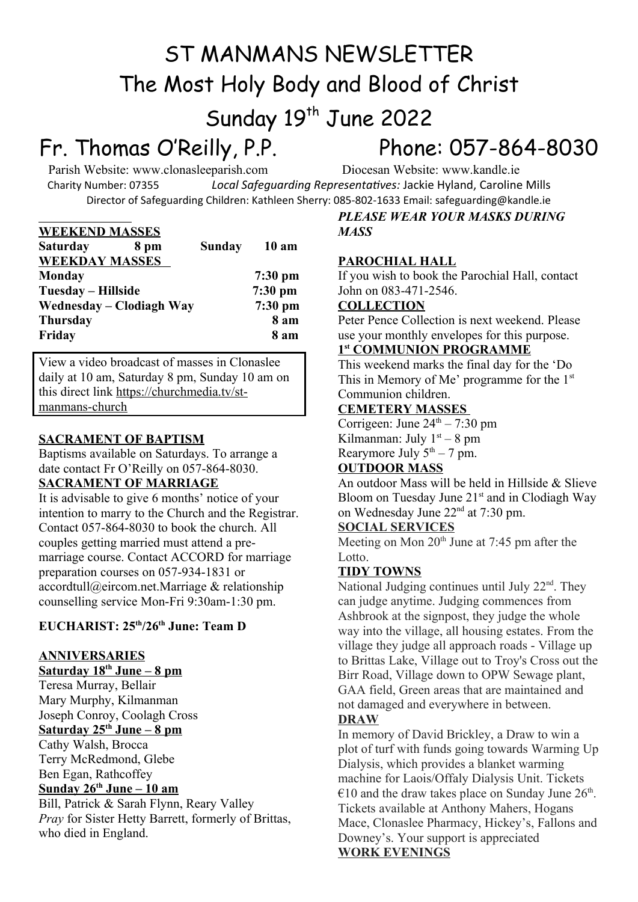### ST MANMANS NEWSLETTER The Most Holy Body and Blood of Christ

### Sunday 19<sup>th</sup> June 2022

## Fr. Thomas O'Reilly, P.P. Phone: 057-864-8030

 Parish Website: www.clonasleeparish.com Diocesan Website: www.kandle.ie Charity Number: 07355 *Local Safeguarding Representatives:* Jackie Hyland, Caroline Mills Director of Safeguarding Children: Kathleen Sherry: 085-802-1633 Email: safeguarding@kandle.ie

| <b>WEEKEND MASSES</b>    |        |           |
|--------------------------|--------|-----------|
| <b>Saturday</b><br>8 pm  | Sunday | 10 a m    |
| <b>WEEKDAY MASSES</b>    |        |           |
| Monday                   |        | $7:30$ pm |
| Tuesday - Hillside       |        | $7:30$ pm |
| Wednesday – Clodiagh Way |        | $7:30$ pm |
| <b>Thursday</b>          |        | 8 am      |
| Friday                   |        | 8 am      |

View a video broadcast of masses in Clonaslee daily at 10 am, Saturday 8 pm, Sunday 10 am on this direct link [https://churchmedia.tv/st](https://churchmedia.tv/st-manmans-church)[manmans-church](https://churchmedia.tv/st-manmans-church)

### **SACRAMENT OF BAPTISM**

Baptisms available on Saturdays. To arrange a date contact Fr O'Reilly on 057-864-8030. **SACRAMENT OF MARRIAGE**

It is advisable to give 6 months' notice of your intention to marry to the Church and the Registrar. Contact 057-864-8030 to book the church. All couples getting married must attend a premarriage course. Contact ACCORD for marriage preparation courses on 057-934-1831 or accordtull@eircom.net.Marriage & relationship counselling service Mon-Fri 9:30am-1:30 pm.

### **EUCHARIST: 25th/26th June: Team D**

### **ANNIVERSARIES**

 **Saturday 18th June – 8 pm** Teresa Murray, Bellair Mary Murphy, Kilmanman Joseph Conroy, Coolagh Cross  **Saturday 25th June – 8 pm** Cathy Walsh, Brocca Terry McRedmond, Glebe Ben Egan, Rathcoffey  **Sunday 26th June – 10 am** Bill, Patrick & Sarah Flynn, Reary Valley *Pray* for Sister Hetty Barrett, formerly of Brittas, who died in England.

### *MASS*

#### **PAROCHIAL HALL**

If you wish to book the Parochial Hall, contact John on 083-471-2546.

*PLEASE WEAR YOUR MASKS DURING* 

#### **COLLECTION**

Peter Pence Collection is next weekend. Please use your monthly envelopes for this purpose.

### **1 st COMMUNION PROGRAMME**

This weekend marks the final day for the 'Do This in Memory of Me' programme for the 1<sup>st</sup> Communion children.

#### **CEMETERY MASSES**

Corrigeen: June  $24<sup>th</sup> - 7:30$  pm

Kilmanman: July  $1<sup>st</sup> - 8$  pm

Rearymore July  $5<sup>th</sup> - 7$  pm.

#### **OUTDOOR MASS**

An outdoor Mass will be held in Hillside & Slieve Bloom on Tuesday June  $21<sup>st</sup>$  and in Clodiagh Way on Wednesday June 22nd at 7:30 pm.

#### **SOCIAL SERVICES**

Meeting on Mon  $20<sup>th</sup>$  June at 7:45 pm after the Lotto.

#### **TIDY TOWNS**

National Judging continues until July  $22<sup>nd</sup>$ . They can judge anytime. Judging commences from Ashbrook at the signpost, they judge the whole way into the village, all housing estates. From the village they judge all approach roads - Village up to Brittas Lake, Village out to Troy's Cross out the Birr Road, Village down to OPW Sewage plant, GAA field, Green areas that are maintained and not damaged and everywhere in between.

#### **DRAW**

In memory of David Brickley, a Draw to win a plot of turf with funds going towards Warming Up Dialysis, which provides a blanket warming machine for Laois/Offaly Dialysis Unit. Tickets €10 and the draw takes place on Sunday June  $26<sup>th</sup>$ . Tickets available at Anthony Mahers, Hogans Mace, Clonaslee Pharmacy, Hickey's, Fallons and Downey's. Your support is appreciated **WORK EVENINGS**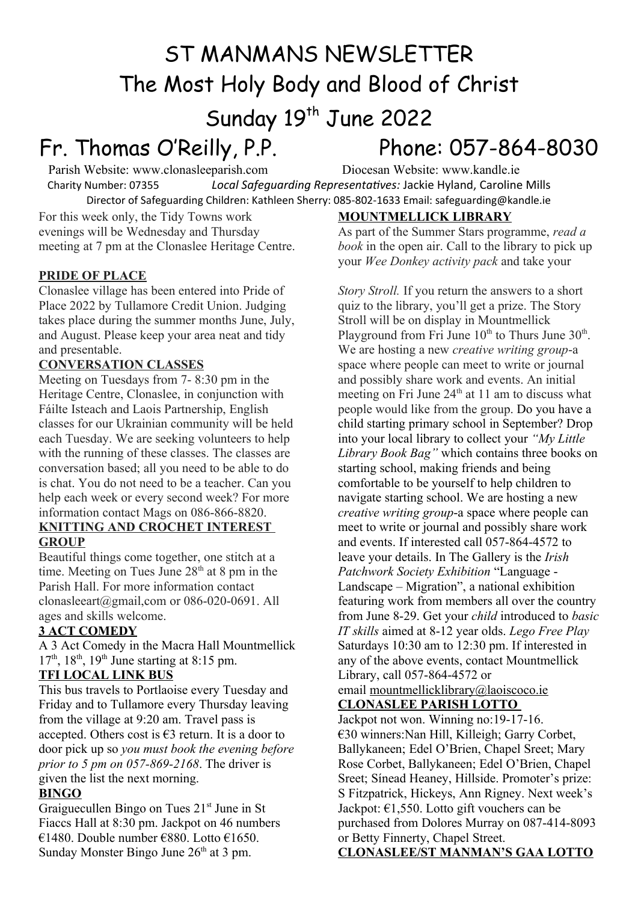# ST MANMANS NEWSLETTER The Most Holy Body and Blood of Christ

## Sunday 19<sup>th</sup> June 2022

## Fr. Thomas O'Reilly, P.P. Phone: 057-864-8030

 Parish Website: www.clonasleeparish.com Diocesan Website: www.kandle.ie Charity Number: 07355 *Local Safeguarding Representatives:* Jackie Hyland, Caroline Mills Director of Safeguarding Children: Kathleen Sherry: 085-802-1633 Email: safeguarding@kandle.ie

For this week only, the Tidy Towns work evenings will be Wednesday and Thursday meeting at 7 pm at the Clonaslee Heritage Centre.

### **PRIDE OF PLACE**

Clonaslee village has been entered into Pride of Place 2022 by Tullamore Credit Union. Judging takes place during the summer months June, July, and August. Please keep your area neat and tidy and presentable.

#### **CONVERSATION CLASSES**

Meeting on Tuesdays from 7- 8:30 pm in the Heritage Centre, Clonaslee, in conjunction with Fáilte Isteach and Laois Partnership, English classes for our Ukrainian community will be held each Tuesday. We are seeking volunteers to help with the running of these classes. The classes are conversation based; all you need to be able to do is chat. You do not need to be a teacher. Can you help each week or every second week? For more information contact Mags on 086-866-8820.

#### **KNITTING AND CROCHET INTEREST GROUP**

Beautiful things come together, one stitch at a time. Meeting on Tues June  $28<sup>th</sup>$  at 8 pm in the Parish Hall. For more information contact clonasleeart@gmail,com or 086-020-0691. All ages and skills welcome.

### **3 ACT COMEDY**

A 3 Act Comedy in the Macra Hall Mountmellick  $17<sup>th</sup>$ ,  $18<sup>th</sup>$ ,  $19<sup>th</sup>$  June starting at 8:15 pm.

#### **TFI LOCAL LINK BUS**

This bus travels to Portlaoise every Tuesday and Friday and to Tullamore every Thursday leaving from the village at 9:20 am. Travel pass is accepted. Others cost is  $\epsilon$ 3 return. It is a door to door pick up so *you must book the evening before prior to 5 pm on 057-869-2168*. The driver is given the list the next morning.

#### **BINGO**

Graiguecullen Bingo on Tues 21<sup>st</sup> June in St Fiaccs Hall at 8:30 pm. Jackpot on 46 numbers €1480. Double number €880. Lotto €1650. Sunday Monster Bingo June  $26<sup>th</sup>$  at 3 pm.

**MOUNTMELLICK LIBRARY**

As part of the Summer Stars programme, *read a book* in the open air. Call to the library to pick up your *Wee Donkey activity pack* and take your

*Story Stroll.* If you return the answers to a short quiz to the library, you'll get a prize. The Story Stroll will be on display in Mountmellick Playground from Fri June  $10^{th}$  to Thurs June  $30^{th}$ . We are hosting a new *creative writing group*-a space where people can meet to write or journal and possibly share work and events. An initial meeting on Fri June 24<sup>th</sup> at 11 am to discuss what people would like from the group. Do you have a child starting primary school in September? Drop into your local library to collect your *"My Little Library Book Bag"* which contains three books on starting school, making friends and being comfortable to be yourself to help children to navigate starting school. We are hosting a new *creative writing group*-a space where people can meet to write or journal and possibly share work and events. If interested call 057-864-4572 to leave your details. In The Gallery is the *Irish Patchwork Society Exhibition* "Language - Landscape – Migration", a national exhibition featuring work from members all over the country from June 8-29. Get your *child* introduced to *basic IT skills* aimed at 8-12 year olds. *Lego Free Play* Saturdays 10:30 am to 12:30 pm. If interested in any of the above events, contact Mountmellick Library, call 057-864-4572 or

email [mountmellicklibrary@laoiscoco.ie](mailto:mountmellicklibrary@laoiscoco.ie) **CLONASLEE PARISH LOTTO** 

Jackpot not won. Winning no:19-17-16. €30 winners:Nan Hill, Killeigh; Garry Corbet, Ballykaneen; Edel O'Brien, Chapel Sreet; Mary Rose Corbet, Ballykaneen; Edel O'Brien, Chapel Sreet; Sínead Heaney, Hillside. Promoter's prize: S Fitzpatrick, Hickeys, Ann Rigney. Next week's Jackpot:  $\epsilon$ 1,550. Lotto gift vouchers can be purchased from Dolores Murray on 087-414-8093 or Betty Finnerty, Chapel Street.

**CLONASLEE/ST MANMAN'S GAA LOTTO**